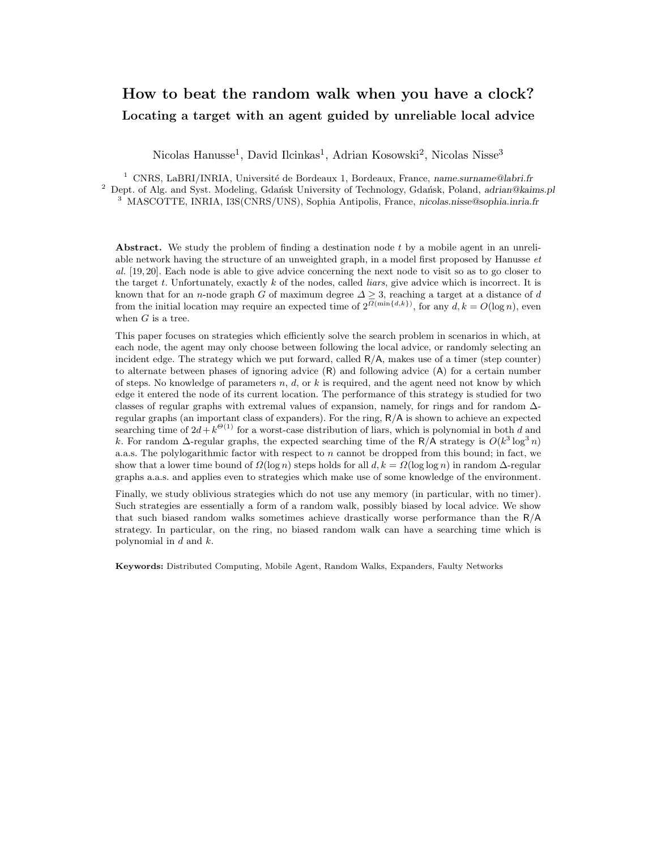# How to beat the random walk when you have a clock? Locating a target with an agent guided by unreliable local advice

Nicolas Hanusse<sup>1</sup>, David Ilcinkas<sup>1</sup>, Adrian Kosowski<sup>2</sup>, Nicolas Nisse<sup>3</sup>

 $^1\,$  CNRS, LaBRI/INRIA, Université de Bordeaux 1, Bordeaux, France, name.surname@labri.fr <sup>2</sup> Dept. of Alg. and Syst. Modeling, Gdańsk University of Technology, Gdańsk, Poland, adrian@kaims.pl <sup>3</sup> MASCOTTE, INRIA, I3S(CNRS/UNS), Sophia Antipolis, France, nicolas.nisse@sophia.inria.fr

Abstract. We study the problem of finding a destination node t by a mobile agent in an unreliable network having the structure of an unweighted graph, in a model first proposed by Hanusse  $et$ al. [19, 20]. Each node is able to give advice concerning the next node to visit so as to go closer to the target  $t$ . Unfortunately, exactly  $k$  of the nodes, called *liars*, give advice which is incorrect. It is known that for an n-node graph G of maximum degree  $\Delta > 3$ , reaching a target at a distance of d from the initial location may require an expected time of  $2^{Q(\min\{d,k\})}$ , for any  $d, k = O(\log n)$ , even when  $G$  is a tree.

This paper focuses on strategies which efficiently solve the search problem in scenarios in which, at each node, the agent may only choose between following the local advice, or randomly selecting an incident edge. The strategy which we put forward, called R/A, makes use of a timer (step counter) to alternate between phases of ignoring advice (R) and following advice (A) for a certain number of steps. No knowledge of parameters n, d, or  $k$  is required, and the agent need not know by which edge it entered the node of its current location. The performance of this strategy is studied for two classes of regular graphs with extremal values of expansion, namely, for rings and for random ∆ regular graphs (an important class of expanders). For the ring, R/A is shown to achieve an expected searching time of  $2d + k^{\Theta(1)}$  for a worst-case distribution of liars, which is polynomial in both d and k. For random  $\Delta$ -regular graphs, the expected searching time of the R/A strategy is  $O(k^3 \log^3 n)$ a.a.s. The polylogarithmic factor with respect to n cannot be dropped from this bound; in fact, we show that a lower time bound of  $\Omega(\log n)$  steps holds for all  $d, k = \Omega(\log \log n)$  in random  $\Delta$ -regular graphs a.a.s. and applies even to strategies which make use of some knowledge of the environment.

Finally, we study oblivious strategies which do not use any memory (in particular, with no timer). Such strategies are essentially a form of a random walk, possibly biased by local advice. We show that such biased random walks sometimes achieve drastically worse performance than the R/A strategy. In particular, on the ring, no biased random walk can have a searching time which is polynomial in d and k.

Keywords: Distributed Computing, Mobile Agent, Random Walks, Expanders, Faulty Networks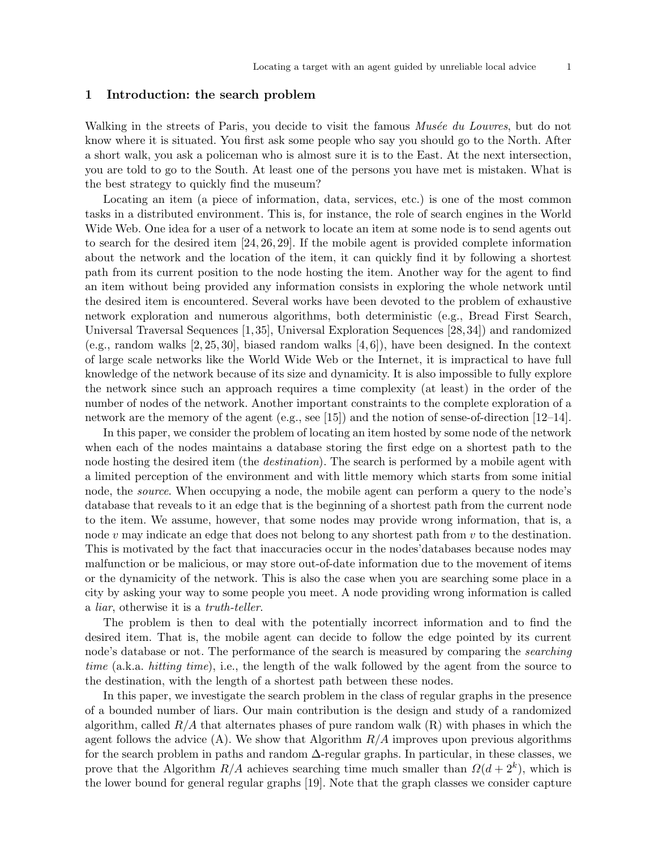# 1 Introduction: the search problem

Walking in the streets of Paris, you decide to visit the famous *Musée du Louvres*, but do not know where it is situated. You first ask some people who say you should go to the North. After a short walk, you ask a policeman who is almost sure it is to the East. At the next intersection, you are told to go to the South. At least one of the persons you have met is mistaken. What is the best strategy to quickly find the museum?

Locating an item (a piece of information, data, services, etc.) is one of the most common tasks in a distributed environment. This is, for instance, the role of search engines in the World Wide Web. One idea for a user of a network to locate an item at some node is to send agents out to search for the desired item [24, 26, 29]. If the mobile agent is provided complete information about the network and the location of the item, it can quickly find it by following a shortest path from its current position to the node hosting the item. Another way for the agent to find an item without being provided any information consists in exploring the whole network until the desired item is encountered. Several works have been devoted to the problem of exhaustive network exploration and numerous algorithms, both deterministic (e.g., Bread First Search, Universal Traversal Sequences [1, 35], Universal Exploration Sequences [28, 34]) and randomized (e.g., random walks  $[2, 25, 30]$ , biased random walks  $[4, 6]$ ), have been designed. In the context of large scale networks like the World Wide Web or the Internet, it is impractical to have full knowledge of the network because of its size and dynamicity. It is also impossible to fully explore the network since such an approach requires a time complexity (at least) in the order of the number of nodes of the network. Another important constraints to the complete exploration of a network are the memory of the agent (e.g., see [15]) and the notion of sense-of-direction [12–14].

In this paper, we consider the problem of locating an item hosted by some node of the network when each of the nodes maintains a database storing the first edge on a shortest path to the node hosting the desired item (the *destination*). The search is performed by a mobile agent with a limited perception of the environment and with little memory which starts from some initial node, the *source*. When occupying a node, the mobile agent can perform a query to the node's database that reveals to it an edge that is the beginning of a shortest path from the current node to the item. We assume, however, that some nodes may provide wrong information, that is, a node  $v$  may indicate an edge that does not belong to any shortest path from  $v$  to the destination. This is motivated by the fact that inaccuracies occur in the nodes'databases because nodes may malfunction or be malicious, or may store out-of-date information due to the movement of items or the dynamicity of the network. This is also the case when you are searching some place in a city by asking your way to some people you meet. A node providing wrong information is called a liar, otherwise it is a truth-teller.

The problem is then to deal with the potentially incorrect information and to find the desired item. That is, the mobile agent can decide to follow the edge pointed by its current node's database or not. The performance of the search is measured by comparing the *searching* time (a.k.a. hitting time), i.e., the length of the walk followed by the agent from the source to the destination, with the length of a shortest path between these nodes.

In this paper, we investigate the search problem in the class of regular graphs in the presence of a bounded number of liars. Our main contribution is the design and study of a randomized algorithm, called  $R/A$  that alternates phases of pure random walk  $(R)$  with phases in which the agent follows the advice  $(A)$ . We show that Algorithm  $R/A$  improves upon previous algorithms for the search problem in paths and random  $\Delta$ -regular graphs. In particular, in these classes, we prove that the Algorithm  $R/A$  achieves searching time much smaller than  $\Omega(d+2^k)$ , which is the lower bound for general regular graphs [19]. Note that the graph classes we consider capture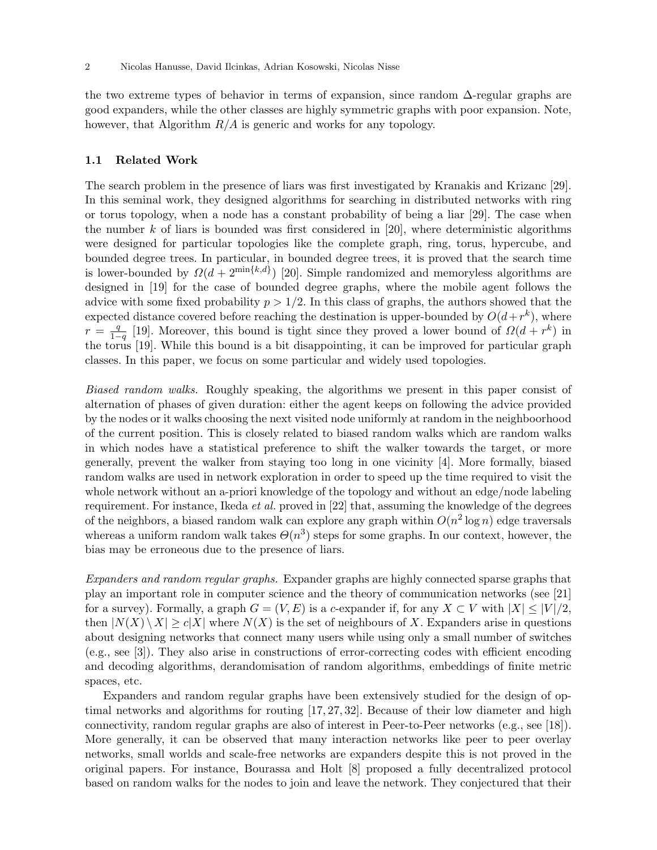the two extreme types of behavior in terms of expansion, since random  $\Delta$ -regular graphs are good expanders, while the other classes are highly symmetric graphs with poor expansion. Note, however, that Algorithm  $R/A$  is generic and works for any topology.

## 1.1 Related Work

The search problem in the presence of liars was first investigated by Kranakis and Krizanc [29]. In this seminal work, they designed algorithms for searching in distributed networks with ring or torus topology, when a node has a constant probability of being a liar [29]. The case when the number k of liars is bounded was first considered in [20], where deterministic algorithms were designed for particular topologies like the complete graph, ring, torus, hypercube, and bounded degree trees. In particular, in bounded degree trees, it is proved that the search time is lower-bounded by  $\Omega(d + 2^{\min\{k,d\}})$  [20]. Simple randomized and memoryless algorithms are designed in [19] for the case of bounded degree graphs, where the mobile agent follows the advice with some fixed probability  $p > 1/2$ . In this class of graphs, the authors showed that the expected distance covered before reaching the destination is upper-bounded by  $O(d+r^k)$ , where  $r = \frac{q}{1-q}$  $\frac{q}{1-q}$  [19]. Moreover, this bound is tight since they proved a lower bound of  $\Omega(d + r^k)$  in the torus [19]. While this bound is a bit disappointing, it can be improved for particular graph classes. In this paper, we focus on some particular and widely used topologies.

Biased random walks. Roughly speaking, the algorithms we present in this paper consist of alternation of phases of given duration: either the agent keeps on following the advice provided by the nodes or it walks choosing the next visited node uniformly at random in the neighboorhood of the current position. This is closely related to biased random walks which are random walks in which nodes have a statistical preference to shift the walker towards the target, or more generally, prevent the walker from staying too long in one vicinity [4]. More formally, biased random walks are used in network exploration in order to speed up the time required to visit the whole network without an a-priori knowledge of the topology and without an edge/node labeling requirement. For instance, Ikeda *et al.* proved in [22] that, assuming the knowledge of the degrees of the neighbors, a biased random walk can explore any graph within  $O(n^2 \log n)$  edge traversals whereas a uniform random walk takes  $\Theta(n^3)$  steps for some graphs. In our context, however, the bias may be erroneous due to the presence of liars.

Expanders and random regular graphs. Expander graphs are highly connected sparse graphs that play an important role in computer science and the theory of communication networks (see [21] for a survey). Formally, a graph  $G = (V, E)$  is a c-expander if, for any  $X \subset V$  with  $|X| \leq |V|/2$ , then  $|N(X) \setminus X| \ge c|X|$  where  $N(X)$  is the set of neighbours of X. Expanders arise in questions about designing networks that connect many users while using only a small number of switches (e.g., see [3]). They also arise in constructions of error-correcting codes with efficient encoding and decoding algorithms, derandomisation of random algorithms, embeddings of finite metric spaces, etc.

Expanders and random regular graphs have been extensively studied for the design of optimal networks and algorithms for routing [17, 27, 32]. Because of their low diameter and high connectivity, random regular graphs are also of interest in Peer-to-Peer networks (e.g., see [18]). More generally, it can be observed that many interaction networks like peer to peer overlay networks, small worlds and scale-free networks are expanders despite this is not proved in the original papers. For instance, Bourassa and Holt [8] proposed a fully decentralized protocol based on random walks for the nodes to join and leave the network. They conjectured that their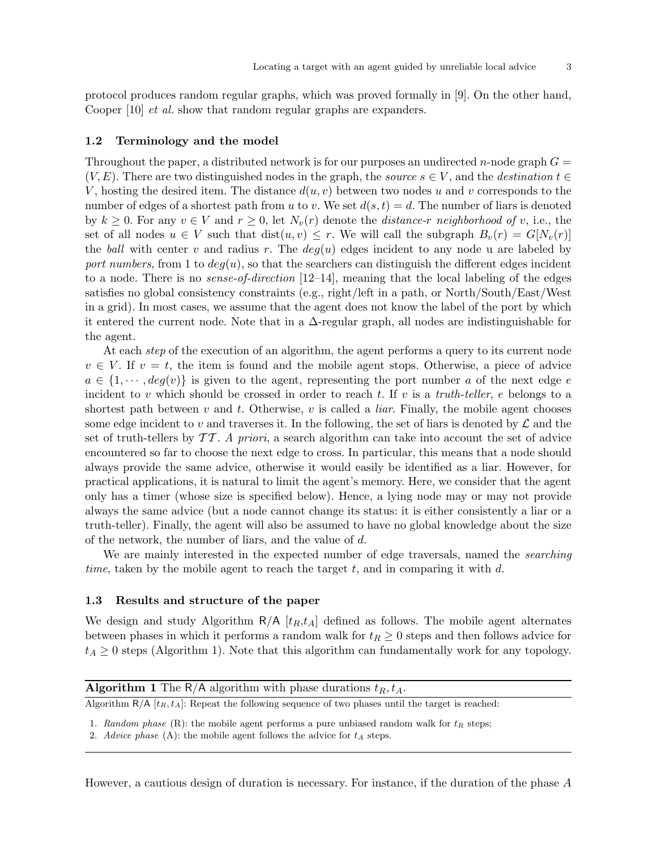protocol produces random regular graphs, which was proved formally in [9]. On the other hand, Cooper [10] et al. show that random regular graphs are expanders.

#### 1.2 Terminology and the model

Throughout the paper, a distributed network is for our purposes an undirected n-node graph  $G =$  $(V, E)$ . There are two distinguished nodes in the graph, the source  $s \in V$ , and the destination  $t \in$ V, hosting the desired item. The distance  $d(u, v)$  between two nodes u and v corresponds to the number of edges of a shortest path from u to v. We set  $d(s,t) = d$ . The number of liars is denoted by  $k \geq 0$ . For any  $v \in V$  and  $r \geq 0$ , let  $N_v(r)$  denote the *distance-r neighborhood of v*, i.e., the set of all nodes  $u \in V$  such that  $dist(u, v) \leq r$ . We will call the subgraph  $B_v(r) = G[N_v(r)]$ the ball with center v and radius r. The  $deg(u)$  edges incident to any node u are labeled by port numbers, from 1 to  $deg(u)$ , so that the searchers can distinguish the different edges incident to a node. There is no *sense-of-direction* [12–14], meaning that the local labeling of the edges satisfies no global consistency constraints (e.g., right/left in a path, or North/South/East/West in a grid). In most cases, we assume that the agent does not know the label of the port by which it entered the current node. Note that in a  $\Delta$ -regular graph, all nodes are indistinguishable for the agent.

At each *step* of the execution of an algorithm, the agent performs a query to its current node  $v \in V$ . If  $v = t$ , the item is found and the mobile agent stops. Otherwise, a piece of advice  $a \in \{1, \dots, deg(v)\}\$ is given to the agent, representing the port number a of the next edge e incident to v which should be crossed in order to reach t. If v is a truth-teller, e belongs to a shortest path between v and t. Otherwise, v is called a *liar*. Finally, the mobile agent chooses some edge incident to v and traverses it. In the following, the set of liars is denoted by  $\mathcal L$  and the set of truth-tellers by  $TT$ . A priori, a search algorithm can take into account the set of advice encountered so far to choose the next edge to cross. In particular, this means that a node should always provide the same advice, otherwise it would easily be identified as a liar. However, for practical applications, it is natural to limit the agent's memory. Here, we consider that the agent only has a timer (whose size is specified below). Hence, a lying node may or may not provide always the same advice (but a node cannot change its status: it is either consistently a liar or a truth-teller). Finally, the agent will also be assumed to have no global knowledge about the size of the network, the number of liars, and the value of d.

We are mainly interested in the expected number of edge traversals, named the *searching* time, taken by the mobile agent to reach the target  $t$ , and in comparing it with  $d$ .

# 1.3 Results and structure of the paper

We design and study Algorithm  $R/A$  [ $t_R,t_A$ ] defined as follows. The mobile agent alternates between phases in which it performs a random walk for  $t_R \geq 0$  steps and then follows advice for  $t_A \geq 0$  steps (Algorithm 1). Note that this algorithm can fundamentally work for any topology.

| <b>Algorithm 1</b> The R/A algorithm with phase durations $t_R, t_A$ .                                   |  |
|----------------------------------------------------------------------------------------------------------|--|
| Algorithm $R/A$ [ $t_R, t_A$ ]: Repeat the following sequence of two phases until the target is reached: |  |

1. Random phase (R): the mobile agent performs a pure unbiased random walk for  $t_R$  steps;

However, a cautious design of duration is necessary. For instance, if the duration of the phase A

<sup>2.</sup> Advice phase (A): the mobile agent follows the advice for  $t_A$  steps.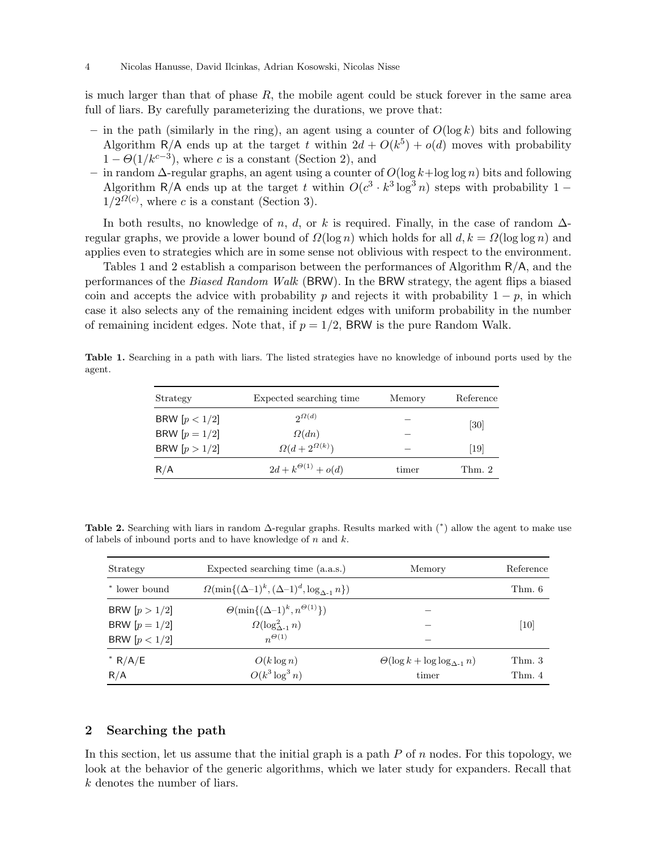is much larger than that of phase  $R$ , the mobile agent could be stuck forever in the same area full of liars. By carefully parameterizing the durations, we prove that:

- in the path (similarly in the ring), an agent using a counter of  $O(\log k)$  bits and following Algorithm R/A ends up at the target t within  $2d + O(k^5) + o(d)$  moves with probability  $1 - \Theta(1/k^{c-3})$ , where c is a constant (Section 2), and
- in random ∆-regular graphs, an agent using a counter of O(log k+log log n) bits and following Algorithm R/A ends up at the target t within  $O(c^3 \cdot k^3 \log^3 n)$  steps with probability 1 –  $1/2^{\Omega(c)}$ , where c is a constant (Section 3).

In both results, no knowledge of n, d, or k is required. Finally, in the case of random  $\Delta$ regular graphs, we provide a lower bound of  $\Omega(\log n)$  which holds for all  $d, k = \Omega(\log \log n)$  and applies even to strategies which are in some sense not oblivious with respect to the environment.

Tables 1 and 2 establish a comparison between the performances of Algorithm R/A, and the performances of the Biased Random Walk (BRW). In the BRW strategy, the agent flips a biased coin and accepts the advice with probability p and rejects it with probability  $1 - p$ , in which case it also selects any of the remaining incident edges with uniform probability in the number of remaining incident edges. Note that, if  $p = 1/2$ , BRW is the pure Random Walk.

Table 1. Searching in a path with liars. The listed strategies have no knowledge of inbound ports used by the agent.

| Strategy        | Expected searching time     | Memory | Reference                    |
|-----------------|-----------------------------|--------|------------------------------|
| BRW $[p < 1/2]$ | $2^{\Omega(d)}$             |        | [30]                         |
| BRW $[p = 1/2]$ | $\Omega(dn)$                |        |                              |
| BRW $[p > 1/2]$ | $\Omega(d+2^{\Omega(k)})$   |        | $\left\lceil 19\right\rceil$ |
| R/A             | $2d + k^{\Theta(1)} + o(d)$ | timer  | Thm. $2$                     |

Table 2. Searching with liars in random  $\Delta$ -regular graphs. Results marked with  $(*)$  allow the agent to make use of labels of inbound ports and to have knowledge of  $n$  and  $k$ .

| Strategy        | Expected searching time (a.a.s.)                                | Memory                                  | Reference |
|-----------------|-----------------------------------------------------------------|-----------------------------------------|-----------|
| * lower bound   | $\Omega(\min\{(\Delta-1)^k, (\Delta-1)^d, \log_{\Delta-1} n\})$ |                                         | Thm. 6    |
| BRW $[p > 1/2]$ | $\Theta(\min\{(\Delta-1)^k, n^{\Theta(1)}\})$                   |                                         |           |
| BRW $[p = 1/2]$ | $\Omega(\log_{\Delta-1}^2 n)$                                   |                                         | [10]      |
| BRW $[p < 1/2]$ | $n^{\Theta(1)}$                                                 |                                         |           |
| $*$ R/A/E       | $O(k \log n)$                                                   | $\Theta(\log k + \log \log_{\Delta} n)$ | Thm. 3    |
| R/A             | $O(k^3 \log^3 n)$                                               | timer                                   | Thm. 4    |

# 2 Searching the path

In this section, let us assume that the initial graph is a path  $P$  of  $n$  nodes. For this topology, we look at the behavior of the generic algorithms, which we later study for expanders. Recall that k denotes the number of liars.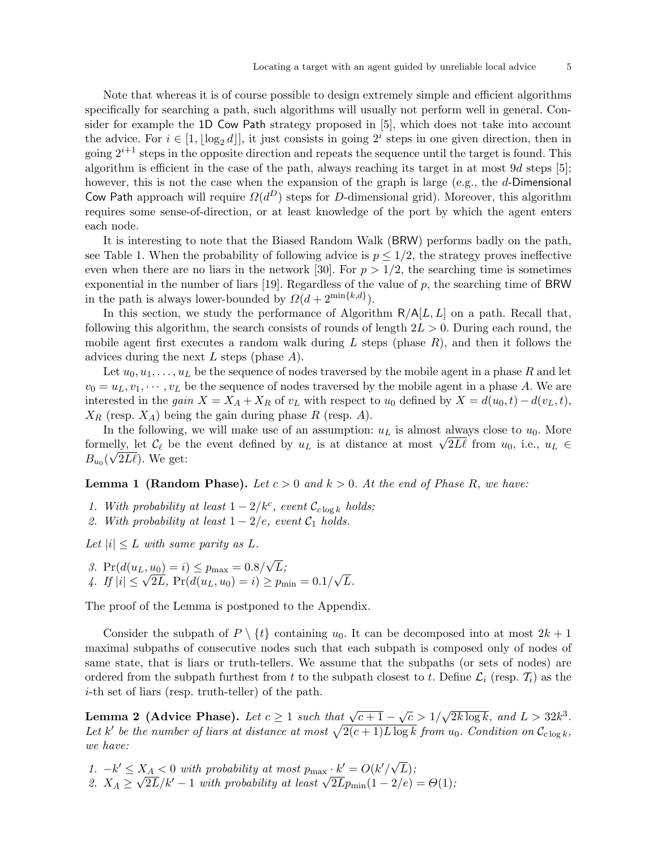Note that whereas it is of course possible to design extremely simple and efficient algorithms specifically for searching a path, such algorithms will usually not perform well in general. Consider for example the 1D Cow Path strategy proposed in [5], which does not take into account the advice. For  $i \in [1, \lfloor \log_2 d \rfloor]$ , it just consists in going  $2^i$  steps in one given direction, then in going  $2^{i+1}$  steps in the opposite direction and repeats the sequence until the target is found. This algorithm is efficient in the case of the path, always reaching its target in at most  $9d$  steps [5]; however, this is not the case when the expansion of the graph is large (e.g., the d-Dimensional Cow Path approach will require  $\Omega(d^D)$  steps for D-dimensional grid). Moreover, this algorithm requires some sense-of-direction, or at least knowledge of the port by which the agent enters each node.

It is interesting to note that the Biased Random Walk (BRW) performs badly on the path, see Table 1. When the probability of following advice is  $p \leq 1/2$ , the strategy proves ineffective even when there are no liars in the network [30]. For  $p > 1/2$ , the searching time is sometimes exponential in the number of liars  $[19]$ . Regardless of the value of p, the searching time of BRW in the path is always lower-bounded by  $\Omega(d+2^{\min\{k,d\}})$ .

In this section, we study the performance of Algorithm  $R/A[L, L]$  on a path. Recall that, following this algorithm, the search consists of rounds of length  $2L > 0$ . During each round, the mobile agent first executes a random walk during  $L$  steps (phase  $R$ ), and then it follows the advices during the next  $L$  steps (phase  $A$ ).

Let  $u_0, u_1, \ldots, u_L$  be the sequence of nodes traversed by the mobile agent in a phase R and let  $v_0 = u_L, v_1, \dots, v_L$  be the sequence of nodes traversed by the mobile agent in a phase A. We are interested in the gain  $X = X_A + X_R$  of  $v_L$  with respect to  $u_0$  defined by  $X = d(u_0, t) - d(v_L, t)$ ,  $X_R$  (resp.  $X_A$ ) being the gain during phase R (resp. A).

In the following, we will make use of an assumption:  $u<sub>L</sub>$  is almost always close to  $u<sub>0</sub>$ . More In the following, we will make use of an assumption:  $u_L$  is almost always close to  $u_0$ . More<br>formelly, let  $\mathcal{C}_{\ell}$  be the event defined by  $u_L$  is at distance at most  $\sqrt{2L\ell}$  from  $u_0$ , i.e.,  $u_L \in$  $B_{u_0}(\sqrt{2L\ell})$ . We get:

# **Lemma 1 (Random Phase).** Let  $c > 0$  and  $k > 0$ . At the end of Phase R, we have:

- 1. With probability at least  $1 2/k^c$ , event  $\mathcal{C}_{c \log k}$  holds;
- 2. With probability at least  $1 2/e$ , event  $C_1$  holds.

Let  $|i| \leq L$  with same parity as L.

- 3.  $Pr(d(u_L, u_0) = i) \leq p_{\text{max}} = 0.8/$ √ L;
- 3.  $Pr(a(u_L, u_0) = i) \le p_{\text{max}} = 0.8/\sqrt{L}$ ;<br>
4. If  $|i| \le \sqrt{2L}$ ,  $Pr(d(u_L, u_0) = i) \ge p_{\text{min}} = 0.1/$ √ L.

The proof of the Lemma is postponed to the Appendix.

Consider the subpath of  $P \setminus \{t\}$  containing  $u_0$ . It can be decomposed into at most  $2k + 1$ maximal subpaths of consecutive nodes such that each subpath is composed only of nodes of same state, that is liars or truth-tellers. We assume that the subpaths (or sets of nodes) are ordered from the subpath furthest from t to the subpath closest to t. Define  $\mathcal{L}_i$  (resp.  $\mathcal{T}_i$ ) as the i-th set of liars (resp. truth-teller) of the path.

Lemma 2 (Advice Phase). Let  $c \geq 1$  such that  $\sqrt{c+1} - \sqrt{c} > 1/2$ √  $\overline{2k \log k}$ , and  $L > 32k^3$ . Let k' be the number of liars at distance at most  $\sqrt{2(c+1)L\log k}$  from  $u_0$ . Condition on  $\mathcal{C}_{c\log k}$ , we have:

1.  $-k' \leq X_A < 0$  with probability at most  $p_{\text{max}} \cdot k' = O(k'/\sqrt{\frac{k'}{k'}})$  $L);$ 2.  $X_A \geq$  $X_A < 0$  with probability at most  $p_{\text{max}} \cdot \kappa = O(\kappa / \sqrt{L});$ <br> $\sqrt{2L}/k' - 1$  with probability at least  $\sqrt{2L}p_{\text{min}}(1 - 2/e) = \Theta(1);$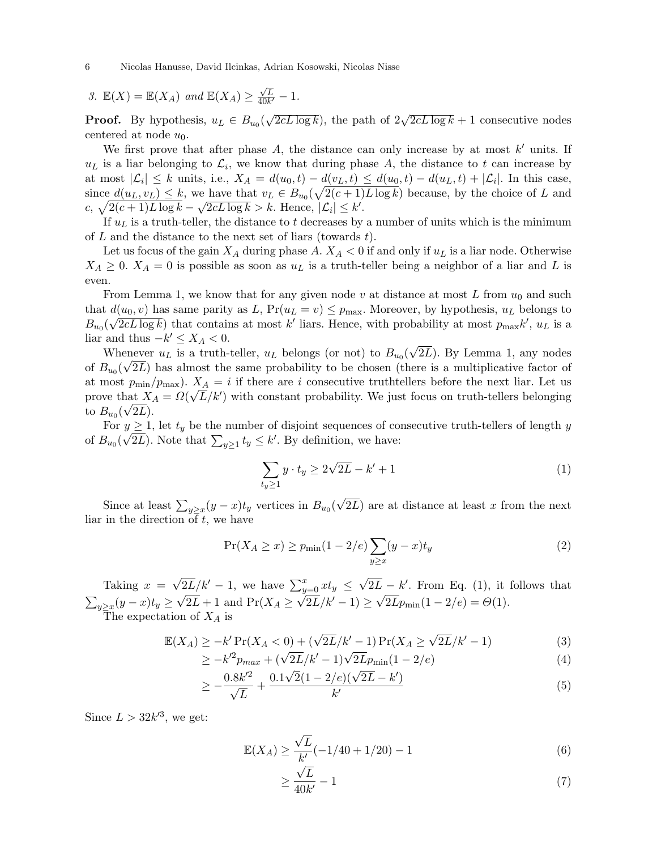3.  $\mathbb{E}(X) = \mathbb{E}(X_A)$  and  $\mathbb{E}(X_A) \geq \frac{\sqrt{L}}{40k'}$  $\frac{\sqrt{L}}{40k'}-1.$ 

**Proof.** By hypothesis,  $u_L \in B_{u_0}$  $\sqrt{2cL\log k}$ , the path of  $2\sqrt{2cL\log k} + 1$  consecutive nodes centered at node  $u_0$ .

We first prove that after phase  $A$ , the distance can only increase by at most  $k'$  units. If  $u<sub>L</sub>$  is a liar belonging to  $\mathcal{L}_i$ , we know that during phase A, the distance to t can increase by at most  $|\mathcal{L}_i| \leq k$  units, i.e.,  $X_A = d(u_0, t) - d(v_L, t) \leq d(u_0, t) - d(u_L, t) + |\mathcal{L}_i|$ . In this case, since  $d(u_L, v_L) \leq k$ , we have that  $v_L \in B_{u_0}(\sqrt{2(c+1)L \log k})$  because, by the choice of L and c,  $\sqrt{2(c+1)L \log k} - \sqrt{2cL \log k} > k$ . Hence,  $|\mathcal{L}_i| \leq k'$ .

If  $u<sub>L</sub>$  is a truth-teller, the distance to t decreases by a number of units which is the minimum of  $L$  and the distance to the next set of liars (towards  $t$ ).

Let us focus of the gain  $X_A$  during phase A.  $X_A < 0$  if and only if  $u_L$  is a liar node. Otherwise  $X_A \geq 0$ .  $X_A = 0$  is possible as soon as  $u_L$  is a truth-teller being a neighbor of a liar and L is even.

From Lemma 1, we know that for any given node  $v$  at distance at most  $L$  from  $u_0$  and such that  $d(u_0, v)$  has same parity as L,  $Pr(u_L = v) \leq p_{\text{max}}$ . Moreover, by hypothesis,  $u_L$  belongs to  $B_{u_0}(\sqrt{2cL\log k})$  that contains at most k' liars. Hence, with probability at most  $p_{\max}k'$ ,  $u_L$  is a liar and thus  $-k' \leq X_A < 0$ . √

Whenever  $u_L$  is a truth-teller,  $u_L$  belongs (or not) to  $B_{u_0}$ ( enever  $u_L$  is a truth-teller,  $u_L$  belongs (or not) to  $B_{u_0}(\sqrt{2L})$ . By Lemma 1, any nodes of  $B_{u_0}(\sqrt{2L})$  has almost the same probability to be chosen (there is a multiplicative factor of at most  $p_{\min}/p_{\max}$ ).  $X_A = i$  if there are i consecutive truthtellers before the next liar. Let us prove that  $X_A = \Omega(\sqrt{L}/k')$  with constant probability. We just focus on truth-tellers belonging to  $B_{u_0}(\sqrt{2L}).$ 

For  $y \geq 1$ , let  $t_y$  be the number of disjoint sequences of consecutive truth-tellers of length y of  $B_{u_0}(\sqrt{2L})$ . Note that  $\sum_{y\geq 1} t_y \leq k'$ . By definition, we have:

$$
\sum_{t_y \ge 1} y \cdot t_y \ge 2\sqrt{2L} - k' + 1 \tag{1}
$$

Since at least  $\sum_{y\geq x}(y-x)t_y$  vertices in  $B_{u_0}$ (  $2L$ ) are at distance at least x from the next liar in the direction of  $t$ , we have

$$
\Pr(X_A \ge x) \ge p_{\min}(1 - 2/e) \sum_{y \ge x} (y - x) t_y \tag{2}
$$

Taking  $x =$  $\sqrt{2L}/k' - 1$ , we have  $\sum_{y=0}^{x} xt_y \leq$ √  $\sqrt{2L}/k' - 1$ , we have  $\sum_{y=0}^{x} xt_y \leq \sqrt{2L} - k'$ . From Eq. (1), it follows that  $\sum_{y\geq x}(y-x)t_y \geq \sqrt{2L}+1$  and  $\Pr(X_A \geq \sqrt{2L}/k'-1) \geq \sqrt{2L}p_{\min}(1-2/e) = \Theta(1).$ The expectation of  $X_A$  is

$$
\mathbb{E}(X_A) \ge -k' \Pr(X_A < 0) + (\sqrt{2L}/k' - 1) \Pr(X_A \ge \sqrt{2L}/k' - 1) \tag{3}
$$

$$
\geq -k'^{2}p_{max} + (\sqrt{2L}/k' - 1)\sqrt{2L}p_{min}(1 - 2/e)
$$
\n(4)

$$
\geq -\frac{0.8k'^2}{\sqrt{L}} + \frac{0.1\sqrt{2}(1-2/e)(\sqrt{2L}-k')}{k'}
$$
\n(5)

Since  $L > 32k^{\prime 3}$ , we get:

$$
\mathbb{E}(X_A) \ge \frac{\sqrt{L}}{k'}(-1/40 + 1/20) - 1\tag{6}
$$

$$
\geq \frac{\sqrt{L}}{40k'} - 1\tag{7}
$$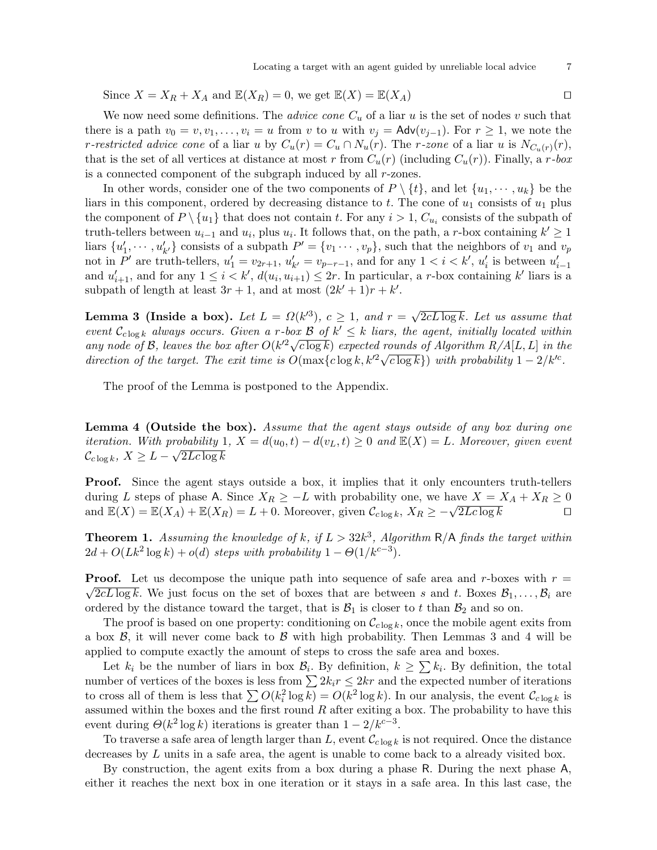Since  $X = X_R + X_A$  and  $\mathbb{E}(X_R) = 0$ , we get  $\mathbb{E}(X) = \mathbb{E}(X_A)$ 

We now need some definitions. The *advice cone*  $C_u$  of a liar u is the set of nodes v such that there is a path  $v_0 = v, v_1, \ldots, v_i = u$  from v to u with  $v_j = \mathsf{Adv}(v_{j-1})$ . For  $r \geq 1$ , we note the r-restricted advice cone of a liar u by  $C_u(r) = C_u \cap N_u(r)$ . The r-zone of a liar u is  $N_{C_u(r)}(r)$ , that is the set of all vertices at distance at most r from  $C_u(r)$  (including  $C_u(r)$ ). Finally, a r-box is a connected component of the subgraph induced by all r-zones.

In other words, consider one of the two components of  $P \setminus \{t\}$ , and let  $\{u_1, \dots, u_k\}$  be the liars in this component, ordered by decreasing distance to  $t$ . The cone of  $u_1$  consists of  $u_1$  plus the component of  $P \setminus \{u_1\}$  that does not contain t. For any  $i > 1$ ,  $C_{u_i}$  consists of the subpath of truth-tellers between  $u_{i-1}$  and  $u_i$ , plus  $u_i$ . It follows that, on the path, a r-box containing  $k' \geq 1$ liars  $\{u'_1, \dots, u'_{k'}\}$  consists of a subpath  $P' = \{v_1 \dots, v_p\}$ , such that the neighbors of  $v_1$  and  $v_p$ not in  $P'$  are truth-tellers,  $u'_1 = v_{2r+1}$ ,  $u'_{k'} = v_{p-r-1}$ , and for any  $1 < i < k'$ ,  $u'_i$  is between  $u'_{i-1}$ and  $u'_{i+1}$ , and for any  $1 \leq i < k'$ ,  $d(u_i, u_{i+1}) \leq 2r$ . In particular, a r-box containing k' liars is a subpath of length at least  $3r + 1$ , and at most  $(2k' + 1)r + k'$ .

Lemma 3 (Inside a box). Let  $L = \Omega(k^2)$ ,  $c \ge 1$ , and  $r =$ √  $\overline{2cL\log k}$ . Let us assume that event  $\mathcal{C}_{c \log k}$  always occurs. Given a r-box  $\mathcal{B}$  of  $k' \leq k$  liars, the agent, initially located within event  $c_{c\log k}$  aways occurs. Given a r-oox  $B$  of  $\kappa \leq \kappa$  tars, the agent, initially located within<br>any node of B, leaves the box after  $O(k^2\sqrt{c\log k})$  expected rounds of Algorithm  $R/A[L,L]$  in the any node of B, leaves the lock after  $O(\kappa \sqrt{c \log \kappa})$  expected rounds of Algorithm  $\kappa / A[L, L]$  in the direction of the target. The exit time is  $O(\max\{c \log k, k'^2 \sqrt{c \log k}\})$  with probability  $1 - 2/k'^{c}$ .

The proof of the Lemma is postponed to the Appendix.

Lemma 4 (Outside the box). Assume that the agent stays outside of any box during one iteration. With probability 1,  $X = d(u_0, t) - d(v_L, t) \ge 0$  and  $\mathbb{E}(X) = L$ . Moreover, given event  $\mathcal{C}_{c\log k},\,X\geq L-\sqrt{2Lc\log k}$ 

**Proof.** Since the agent stays outside a box, it implies that it only encounters truth-tellers during L steps of phase A. Since  $X_R \geq -L$  with probability one, we have  $X = X_A + X_R \geq 0$ and  $\mathbb{E}(X) = \mathbb{E}(X_A) + \mathbb{E}(X_R) = L + 0$ . Moreover, given  $C_{c \log k}$ ,  $X_R \ge -\sqrt{2Lc \log k}$ 

**Theorem 1.** Assuming the knowledge of k, if  $L > 32k^3$ , Algorithm R/A finds the target within  $2d + O(Lk^2 \log k) + o(d)$  steps with probability  $1 - \Theta(1/k^{c-3})$ .

**Proof.** Let us decompose the unique path into sequence of safe area and r-boxes with  $r =$  $\sqrt{2c}L\log k$ . We just focus on the set of boxes that are between s and t. Boxes  $\mathcal{B}_1,\ldots,\mathcal{B}_i$  are ordered by the distance toward the target, that is  $\mathcal{B}_1$  is closer to t than  $\mathcal{B}_2$  and so on.

The proof is based on one property: conditioning on  $\mathcal{C}_{c \log k}$ , once the mobile agent exits from a box  $\beta$ , it will never come back to  $\beta$  with high probability. Then Lemmas 3 and 4 will be applied to compute exactly the amount of steps to cross the safe area and boxes.

Let  $k_i$  be the number of liars in box  $\mathcal{B}_i$ . By definition,  $k \geq \sum k_i$ . By definition, the total number of vertices of the boxes is less from  $\sum 2k_i r \leq 2kr$  and the expected number of iterations to cross all of them is less that  $\sum O(k_i^2 \log k) = O(k^2 \log k)$ . In our analysis, the event  $\mathcal{C}_{c \log k}$  is assumed within the boxes and the first round  $R$  after exiting a box. The probability to have this event during  $\Theta(k^2 \log k)$  iterations is greater than  $1 - 2/k^{c-3}$ .

To traverse a safe area of length larger than L, event  $\mathcal{C}_{c \log k}$  is not required. Once the distance decreases by L units in a safe area, the agent is unable to come back to a already visited box.

By construction, the agent exits from a box during a phase R. During the next phase A, either it reaches the next box in one iteration or it stays in a safe area. In this last case, the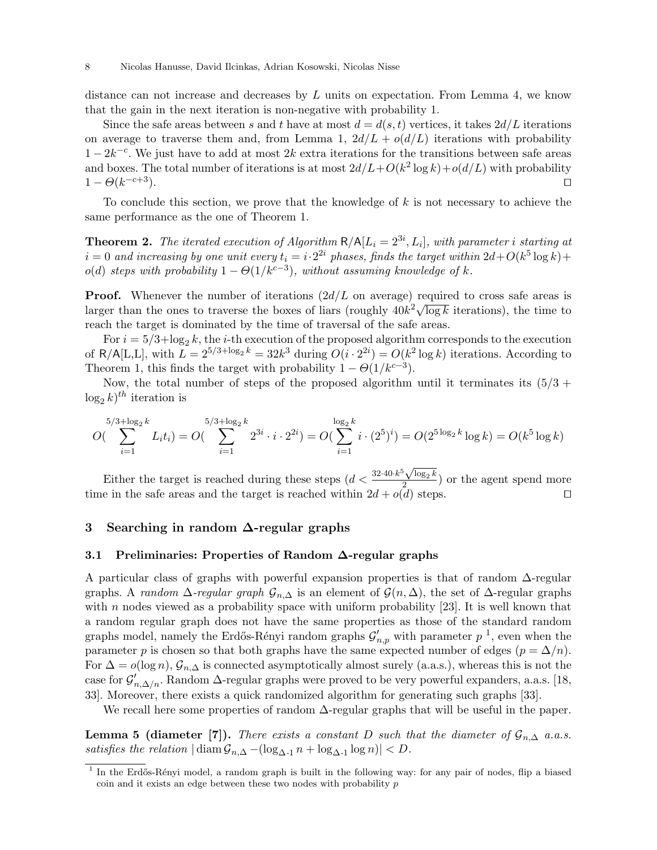distance can not increase and decreases by  $L$  units on expectation. From Lemma 4, we know that the gain in the next iteration is non-negative with probability 1.

Since the safe areas between s and t have at most  $d = d(s, t)$  vertices, it takes  $2d/L$  iterations on average to traverse them and, from Lemma 1,  $2d/L + o(d/L)$  iterations with probability  $1-2k^{-c}$ . We just have to add at most  $2k$  extra iterations for the transitions between safe areas and boxes. The total number of iterations is at most  $2d/L + O(k^2 \log k) + o(d/L)$  with probability  $1 - \Theta(k^{-c+3})$ .  $\Box$  $\Box$ 

To conclude this section, we prove that the knowledge of  $k$  is not necessary to achieve the same performance as the one of Theorem 1.

**Theorem 2.** The iterated execution of Algorithm  $R/A[L_i = 2^{3i}, L_i]$ , with parameter i starting at  $i=0$  and increasing by one unit every  $t_i = i\cdot 2^{2i}$  phases, finds the target within  $2d+O(k^5\log k)+1$  $o(d)$  steps with probability  $1 - \Theta(1/k^{c-3})$ , without assuming knowledge of k.

**Proof.** Whenever the number of iterations  $(2d/L)$  on average) required to cross safe areas is **r root.** Whenever the number of iterations  $(2a/L)$  on average) required to cross safe areas is larger than the ones to traverse the boxes of liars (roughly  $40k^2\sqrt{\log k}$  iterations), the time to reach the target is dominated by the time of traversal of the safe areas.

For  $i = 5/3 + \log_2 k$ , the *i*-th execution of the proposed algorithm corresponds to the execution of R/A[L,L], with  $L = 2^{5/3 + \log_2 k} = 32k^3$  during  $O(i \cdot 2^{2i}) = O(k^2 \log k)$  iterations. According to Theorem 1, this finds the target with probability  $1 - \Theta(1/k^{c-3})$ .

Now, the total number of steps of the proposed algorithm until it terminates its  $(5/3 +$  $\log_2 k$ <sup>th</sup> iteration is

$$
O(\sum_{i=1}^{5/3+\log_2 k} L_i t_i) = O(\sum_{i=1}^{5/3+\log_2 k} 2^{3i} \cdot i \cdot 2^{2i}) = O(\sum_{i=1}^{\log_2 k} i \cdot (2^5)^i) = O(2^{5\log_2 k} \log k) = O(k^5 \log k)
$$

Either the target is reached during these steps  $(d < \frac{32.40 \cdot k}{s}$  $\sqrt{\log_2 k}$  $\frac{\sqrt{\log_2 n}}{2}$  or the agent spend more time in the safe areas and the target is reached within  $2d + o(d)$  steps.

# 3 Searching in random ∆-regular graphs

#### 3.1 Preliminaries: Properties of Random ∆-regular graphs

A particular class of graphs with powerful expansion properties is that of random ∆-regular graphs. A random  $\Delta$ -regular graph  $\mathcal{G}_{n,\Delta}$  is an element of  $\mathcal{G}(n,\Delta)$ , the set of  $\Delta$ -regular graphs with  $n$  nodes viewed as a probability space with uniform probability [23]. It is well known that a random regular graph does not have the same properties as those of the standard random graphs model, namely the Erdős-Rényi random graphs  $\mathcal{G}^{\prime}_{n,p}$  with parameter  $p^{-1}$ , even when the parameter p is chosen so that both graphs have the same expected number of edges  $(p = \Delta/n)$ . For  $\Delta = o(\log n)$ ,  $\mathcal{G}_{n,\Delta}$  is connected asymptotically almost surely (a.a.s.), whereas this is not the case for  $\mathcal{G}'_{n,\Delta/n}$ . Random  $\Delta$ -regular graphs were proved to be very powerful expanders, a.a.s. [18, 33]. Moreover, there exists a quick randomized algorithm for generating such graphs [33].

We recall here some properties of random  $\Delta$ -regular graphs that will be useful in the paper.

**Lemma 5 (diameter [7]).** There exists a constant D such that the diameter of  $\mathcal{G}_{n,\Delta}$  a.a.s. satisfies the relation  $|\operatorname{diam} \mathcal{G}_{n,\Delta} - (\log_{\Delta-1} n + \log_{\Delta-1} \log n)| < D$ .

<sup>&</sup>lt;sup>1</sup> In the Erdős-Rényi model, a random graph is built in the following way: for any pair of nodes, flip a biased coin and it exists an edge between these two nodes with probability  $\boldsymbol{p}$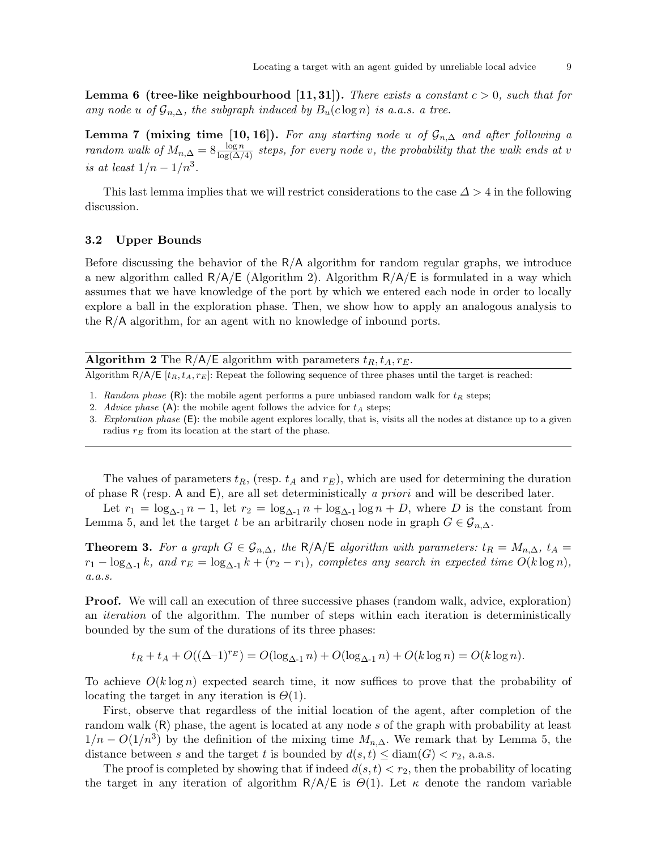**Lemma 6 (tree-like neighbourhood [11, 31]).** There exists a constant  $c > 0$ , such that for any node u of  $\mathcal{G}_{n,\Delta}$ , the subgraph induced by  $B_u(c \log n)$  is a.a.s. a tree.

**Lemma 7 (mixing time [10, 16]).** For any starting node u of  $\mathcal{G}_{n,\Delta}$  and after following a random walk of  $M_{n,\Delta} = 8 \frac{\log n}{\log(\Delta/4)}$  steps, for every node v, the probability that the walk ends at v is at least  $1/n - 1/n^3$ .

This last lemma implies that we will restrict considerations to the case  $\Delta > 4$  in the following discussion.

#### 3.2 Upper Bounds

Before discussing the behavior of the  $R/A$  algorithm for random regular graphs, we introduce a new algorithm called  $R/A/E$  (Algorithm 2). Algorithm  $R/A/E$  is formulated in a way which assumes that we have knowledge of the port by which we entered each node in order to locally explore a ball in the exploration phase. Then, we show how to apply an analogous analysis to the R/A algorithm, for an agent with no knowledge of inbound ports.

**Algorithm 2** The R/A/E algorithm with parameters  $t_R, t_A, r_E$ .

Algorithm  $R/A/E$  [ $t_R, t_A, r_E$ ]: Repeat the following sequence of three phases until the target is reached:

- 1. Random phase (R): the mobile agent performs a pure unbiased random walk for  $t_R$  steps;
- 2. Advice phase (A): the mobile agent follows the advice for  $t_A$  steps;
- 3. Exploration phase (E): the mobile agent explores locally, that is, visits all the nodes at distance up to a given radius  $r_E$  from its location at the start of the phase.

The values of parameters  $t_R$ , (resp.  $t_A$  and  $r_E$ ), which are used for determining the duration of phase R (resp. A and  $E$ ), are all set deterministically a priori and will be described later.

Let  $r_1 = \log_{\Delta-1} n - 1$ , let  $r_2 = \log_{\Delta-1} n + \log_{\Delta-1} \log n + D$ , where D is the constant from Lemma 5, and let the target t be an arbitrarily chosen node in graph  $G \in \mathcal{G}_{n,\Delta}$ .

**Theorem 3.** For a graph  $G \in \mathcal{G}_{n,\Delta}$ , the R/A/E algorithm with parameters:  $t_R = M_{n,\Delta}$ ,  $t_A =$  $r_1 - \log_{\Delta-1} k$ , and  $r_E = \log_{\Delta-1} k + (r_2 - r_1)$ , completes any search in expected time  $O(k \log n)$ , a.a.s.

Proof. We will call an execution of three successive phases (random walk, advice, exploration) an *iteration* of the algorithm. The number of steps within each iteration is deterministically bounded by the sum of the durations of its three phases:

$$
t_R + t_A + O((\Delta - 1)^{r_E}) = O(\log_{\Delta - 1} n) + O(\log_{\Delta - 1} n) + O(k \log n) = O(k \log n).
$$

To achieve  $O(k \log n)$  expected search time, it now suffices to prove that the probability of locating the target in any iteration is  $\Theta(1)$ .

First, observe that regardless of the initial location of the agent, after completion of the random walk (R) phase, the agent is located at any node s of the graph with probability at least  $1/n - O(1/n^3)$  by the definition of the mixing time  $M_{n,\Delta}$ . We remark that by Lemma 5, the distance between s and the target t is bounded by  $d(s, t) \leq diam(G) < r_2$ , a.a.s.

The proof is completed by showing that if indeed  $d(s, t) < r_2$ , then the probability of locating the target in any iteration of algorithm  $R/A/E$  is  $\Theta(1)$ . Let  $\kappa$  denote the random variable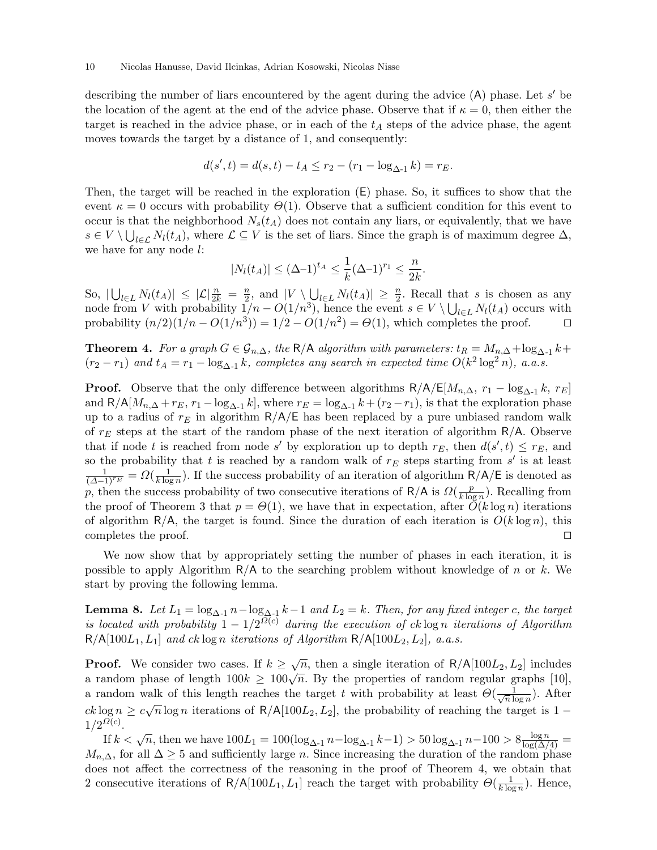describing the number of liars encountered by the agent during the advice  $(A)$  phase. Let s' be the location of the agent at the end of the advice phase. Observe that if  $\kappa = 0$ , then either the target is reached in the advice phase, or in each of the  $t_A$  steps of the advice phase, the agent moves towards the target by a distance of 1, and consequently:

$$
d(s',t) = d(s,t) - t_A \le r_2 - (r_1 - \log_{\Delta-1} k) = r_E.
$$

Then, the target will be reached in the exploration (E) phase. So, it suffices to show that the event  $\kappa = 0$  occurs with probability  $\Theta(1)$ . Observe that a sufficient condition for this event to occur is that the neighborhood  $N_s(t_A)$  does not contain any liars, or equivalently, that we have  $s \in V \setminus \bigcup_{l \in \mathcal{L}} N_l(t_A)$ , where  $\mathcal{L} \subseteq V$  is the set of liars. Since the graph is of maximum degree  $\Delta$ , we have for any node l:

$$
|N_l(t_A)| \leq (\Delta - 1)^{t_A} \leq \frac{1}{k} (\Delta - 1)^{r_1} \leq \frac{n}{2k}.
$$

So,  $|\bigcup_{l \in L} N_l(t_A)| \leq |\mathcal{L}| \frac{n}{2k} = \frac{n}{2}$  $\frac{n}{2}$ , and  $|V \setminus \bigcup_{l \in L} N_l(t_A)| \geq \frac{n}{2}$ . Recall that s is chosen as any node from V with probability  $\overline{1}/n - O(1/n^3)$ , hence the event  $s \in V \setminus \bigcup_{l \in L} N_l(t_A)$  occurs with probability  $(n/2)(1/n - O(1/n^3)) = 1/2 - O(1/n^2) = \Theta(1)$ , which completes the proof.  $\square$ 

**Theorem 4.** For a graph  $G \in \mathcal{G}_{n,\Delta}$ , the R/A algorithm with parameters:  $t_R = M_{n,\Delta} + \log_{\Delta-1} k +$  $(r_2 - r_1)$  and  $t_A = r_1 - \log_{\Delta-1} k$ , completes any search in expected time  $O(k^2 \log^2 n)$ , a.a.s.

**Proof.** Observe that the only difference between algorithms  $R/A/E[M_{n,\Delta}, r_1 - \log_{\Delta-1} k, r_E]$ and  $R/A[M_{n,\Delta}+r_E, r_1-\log_{\Delta-1} k]$ , where  $r_E = \log_{\Delta-1} k + (r_2-r_1)$ , is that the exploration phase up to a radius of  $r_E$  in algorithm  $R/A/E$  has been replaced by a pure unbiased random walk of  $r_E$  steps at the start of the random phase of the next iteration of algorithm R/A. Observe that if node t is reached from node s' by exploration up to depth  $r_E$ , then  $d(s', t) \leq r_E$ , and so the probability that t is reached by a random walk of  $r_E$  steps starting from s' is at least  $\frac{1}{(\Delta-1)^{r_E}} = \Omega(\frac{1}{k \log n})$  $\frac{1}{k \log n}$ ). If the success probability of an iteration of algorithm  $R/A/E$  is denoted as p, then the success probability of two consecutive iterations of R/A is  $\Omega(\frac{p}{k \log n})$  $\frac{p}{k \log n}$ ). Recalling from the proof of Theorem 3 that  $p = \Theta(1)$ , we have that in expectation, after  $\tilde{O}(k \log n)$  iterations of algorithm R/A, the target is found. Since the duration of each iteration is  $O(k \log n)$ , this completes the proof.  $\Box$ 

We now show that by appropriately setting the number of phases in each iteration, it is possible to apply Algorithm  $R/A$  to the searching problem without knowledge of n or k. We start by proving the following lemma.

**Lemma 8.** Let  $L_1 = \log_{\Delta-1} n - \log_{\Delta-1} k - 1$  and  $L_2 = k$ . Then, for any fixed integer c, the target is located with probability  $1-1/2^{\Omega(c)}$  during the execution of ck log n iterations of Algorithm  $R/A[100L_1, L_1]$  and ck log n iterations of Algorithm  $R/A[100L_2, L_2]$ , a.a.s.

**Proof.** We consider two cases. If  $k \geq \sqrt{n}$ , then a single iteration of  $R/A[100L_2, L_2]$  includes **a** random phase of length  $100k \ge 100\sqrt{n}$ . By the properties of random regular graphs [10], a random walk of this length reaches the target t with probability at least  $\Theta(\frac{-1}{\sqrt{n}})$ valk of this length reaches the target t with probability at least  $\Theta(\frac{1}{\sqrt{n}\log n})$ . After  $ck \log n \geq c\sqrt{n} \log n$  iterations of R/A[100L<sub>2</sub>, L<sub>2</sub>], the probability of reaching the target is 1 –  $1/2^{\Omega(c)}$ .

If  $k < \sqrt{n}$ , then we have  $100L_1 = 100(\log_{\Delta-1} n - \log_{\Delta-1} k - 1) > 50 \log_{\Delta-1} n - 100 > 8 \frac{\log n}{\log(\Delta/4)} =$  $M_{n,\Delta}$ , for all  $\Delta \geq 5$  and sufficiently large n. Since increasing the duration of the random phase does not affect the correctness of the reasoning in the proof of Theorem 4, we obtain that 2 consecutive iterations of R/A $[100L_1, L_1]$  reach the target with probability  $\Theta(\frac{1}{k \log n})$  $\frac{1}{k \log n}$ . Hence,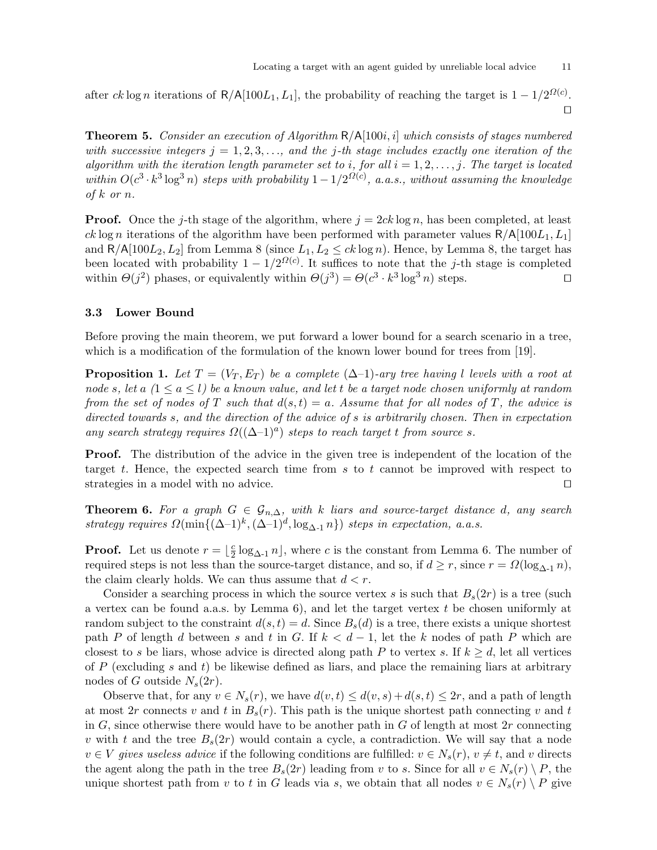after ck log n iterations of  $R/A[100L_1, L_1]$ , the probability of reaching the target is  $1-1/2^{\Omega(c)}$ .  $\Box$ 

**Theorem 5.** Consider an execution of Algorithm  $R/A[100i, i]$  which consists of stages numbered with successive integers  $j = 1, 2, 3, \ldots$ , and the j-th stage includes exactly one iteration of the algorithm with the iteration length parameter set to i, for all  $i = 1, 2, \ldots, j$ . The target is located within  $O(c^3 \cdot k^3 \log^3 n)$  steps with probability  $1 - 1/2^{\Omega(c)}$ , a.a.s., without assuming the knowledge of  $k$  or  $n$ .

**Proof.** Once the j-th stage of the algorithm, where  $j = 2ck \log n$ , has been completed, at least ck log n iterations of the algorithm have been performed with parameter values  $R/A[100L_1, L_1]$ and  $R/A[100L_2, L_2]$  from Lemma 8 (since  $L_1, L_2 \le ck \log n$ ). Hence, by Lemma 8, the target has been located with probability  $1 - 1/2^{\Omega(c)}$ . It suffices to note that the j-th stage is completed within  $\Theta(j^2)$  phases, or equivalently within  $\Theta(j^3) = \Theta(c^3 \cdot k^3 \log^3 n)$  steps.

# 3.3 Lower Bound

Before proving the main theorem, we put forward a lower bound for a search scenario in a tree, which is a modification of the formulation of the known lower bound for trees from [19].

**Proposition 1.** Let  $T = (V_T, E_T)$  be a complete  $(\Delta - 1)$ -ary tree having l levels with a root at node s, let a  $(1 \le a \le l)$  be a known value, and let t be a target node chosen uniformly at random from the set of nodes of T such that  $d(s,t) = a$ . Assume that for all nodes of T, the advice is directed towards s, and the direction of the advice of s is arbitrarily chosen. Then in expectation any search strategy requires  $\Omega((\Delta - 1)^a)$  steps to reach target t from source s.

**Proof.** The distribution of the advice in the given tree is independent of the location of the target t. Hence, the expected search time from s to t cannot be improved with respect to strategies in a model with no advice.  $\Box$ 

**Theorem 6.** For a graph  $G \in \mathcal{G}_{n,\Delta}$ , with k liars and source-target distance d, any search strategy requires  $\Omega(\min\{(\Delta-1)^k, (\Delta-1)^d, \log_{\Delta-1} n\})$  steps in expectation, a.a.s.

**Proof.** Let us denote  $r = \frac{c}{2}$  $\frac{c}{2} \log_{\Delta-1} n$ , where c is the constant from Lemma 6. The number of required steps is not less than the source-target distance, and so, if  $d \geq r$ , since  $r = \Omega(\log_{\Delta-1} n)$ , the claim clearly holds. We can thus assume that  $d < r$ .

Consider a searching process in which the source vertex s is such that  $B_s(2r)$  is a tree (such a vertex can be found a.a.s. by Lemma  $6$ ), and let the target vertex t be chosen uniformly at random subject to the constraint  $d(s, t) = d$ . Since  $B_s(d)$  is a tree, there exists a unique shortest path P of length d between s and t in G. If  $k < d-1$ , let the k nodes of path P which are closest to s be liars, whose advice is directed along path P to vertex s. If  $k \geq d$ , let all vertices of P (excluding s and t) be likewise defined as liars, and place the remaining liars at arbitrary nodes of G outside  $N_s(2r)$ .

Observe that, for any  $v \in N_s(r)$ , we have  $d(v,t) \leq d(v,s) + d(s,t) \leq 2r$ , and a path of length at most 2r connects v and t in  $B_s(r)$ . This path is the unique shortest path connecting v and t in  $G$ , since otherwise there would have to be another path in  $G$  of length at most  $2r$  connecting v with t and the tree  $B_s(2r)$  would contain a cycle, a contradiction. We will say that a node  $v \in V$  gives useless advice if the following conditions are fulfilled:  $v \in N_s(r)$ ,  $v \neq t$ , and v directs the agent along the path in the tree  $B_s(2r)$  leading from v to s. Since for all  $v \in N_s(r) \setminus P$ , the unique shortest path from v to t in G leads via s, we obtain that all nodes  $v \in N_s(r) \setminus P$  give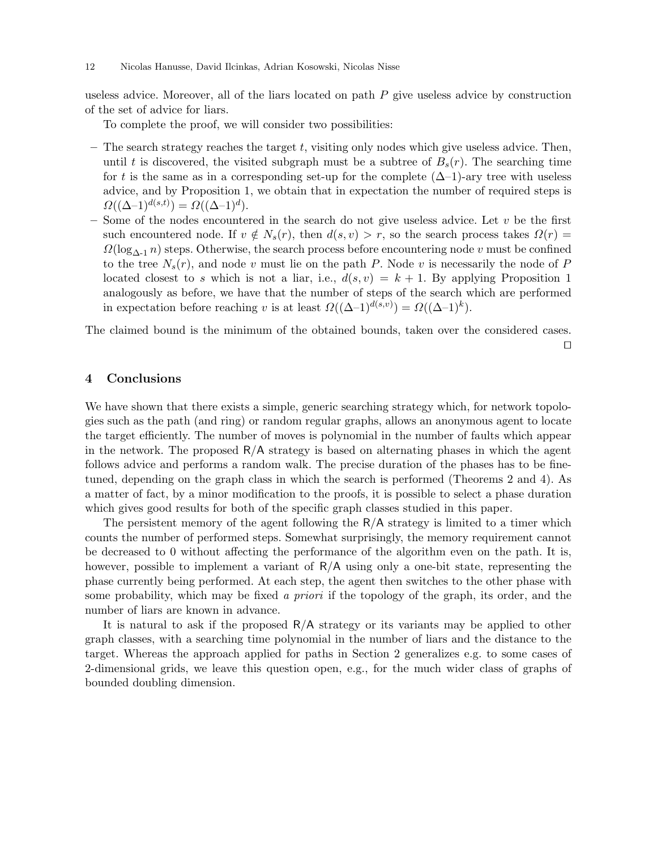useless advice. Moreover, all of the liars located on path  $P$  give useless advice by construction of the set of advice for liars.

To complete the proof, we will consider two possibilities:

- $-$  The search strategy reaches the target t, visiting only nodes which give useless advice. Then, until t is discovered, the visited subgraph must be a subtree of  $B_s(r)$ . The searching time for t is the same as in a corresponding set-up for the complete  $(\Delta-1)$ -ary tree with useless advice, and by Proposition 1, we obtain that in expectation the number of required steps is  $\Omega((\Delta - 1)^{d(s,t)}) = \Omega((\Delta - 1)^d).$
- Some of the nodes encountered in the search do not give useless advice. Let  $v$  be the first such encountered node. If  $v \notin N_s(r)$ , then  $d(s, v) > r$ , so the search process takes  $\Omega(r)$  $\Omega(\log_{\Delta-1} n)$  steps. Otherwise, the search process before encountering node v must be confined to the tree  $N_s(r)$ , and node v must lie on the path P. Node v is necessarily the node of P located closest to s which is not a liar, i.e.,  $d(s, v) = k + 1$ . By applying Proposition 1 analogously as before, we have that the number of steps of the search which are performed in expectation before reaching v is at least  $\Omega((\Delta-1)^{d(s,v)}) = \Omega((\Delta-1)^k)$ .

The claimed bound is the minimum of the obtained bounds, taken over the considered cases.

 $\Box$ 

# 4 Conclusions

We have shown that there exists a simple, generic searching strategy which, for network topologies such as the path (and ring) or random regular graphs, allows an anonymous agent to locate the target efficiently. The number of moves is polynomial in the number of faults which appear in the network. The proposed  $R/A$  strategy is based on alternating phases in which the agent follows advice and performs a random walk. The precise duration of the phases has to be finetuned, depending on the graph class in which the search is performed (Theorems 2 and 4). As a matter of fact, by a minor modification to the proofs, it is possible to select a phase duration which gives good results for both of the specific graph classes studied in this paper.

The persistent memory of the agent following the R/A strategy is limited to a timer which counts the number of performed steps. Somewhat surprisingly, the memory requirement cannot be decreased to 0 without affecting the performance of the algorithm even on the path. It is, however, possible to implement a variant of  $R/A$  using only a one-bit state, representing the phase currently being performed. At each step, the agent then switches to the other phase with some probability, which may be fixed a priori if the topology of the graph, its order, and the number of liars are known in advance.

It is natural to ask if the proposed R/A strategy or its variants may be applied to other graph classes, with a searching time polynomial in the number of liars and the distance to the target. Whereas the approach applied for paths in Section 2 generalizes e.g. to some cases of 2-dimensional grids, we leave this question open, e.g., for the much wider class of graphs of bounded doubling dimension.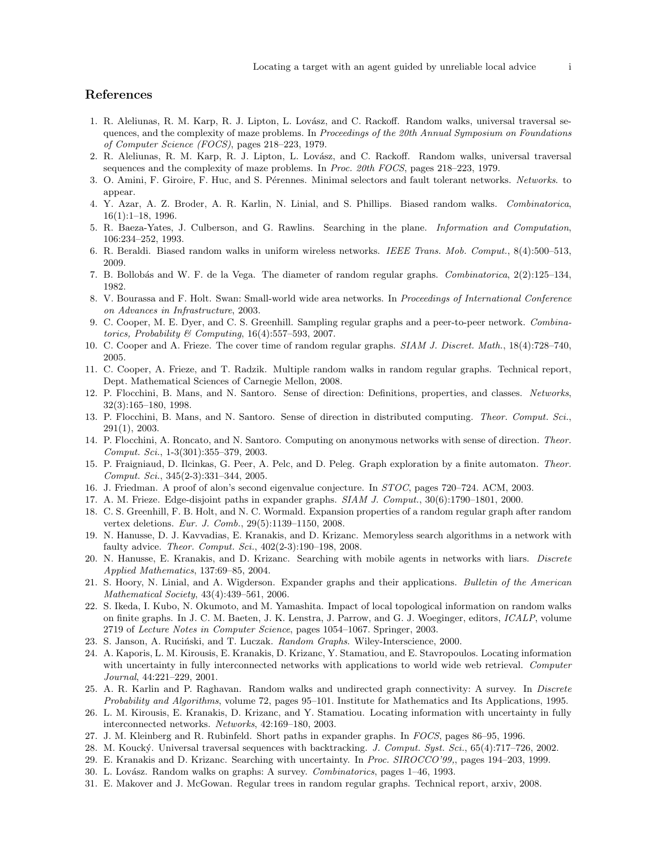# References

- 1. R. Aleliunas, R. M. Karp, R. J. Lipton, L. Lov´asz, and C. Rackoff. Random walks, universal traversal sequences, and the complexity of maze problems. In Proceedings of the 20th Annual Symposium on Foundations of Computer Science (FOCS), pages 218–223, 1979.
- 2. R. Aleliunas, R. M. Karp, R. J. Lipton, L. Lovász, and C. Rackoff. Random walks, universal traversal sequences and the complexity of maze problems. In Proc. 20th FOCS, pages 218–223, 1979.
- 3. O. Amini, F. Giroire, F. Huc, and S. Pérennes. Minimal selectors and fault tolerant networks. Networks. to appear.
- 4. Y. Azar, A. Z. Broder, A. R. Karlin, N. Linial, and S. Phillips. Biased random walks. Combinatorica, 16(1):1–18, 1996.
- 5. R. Baeza-Yates, J. Culberson, and G. Rawlins. Searching in the plane. Information and Computation, 106:234–252, 1993.
- 6. R. Beraldi. Biased random walks in uniform wireless networks. IEEE Trans. Mob. Comput., 8(4):500–513, 2009.
- 7. B. Bollob´as and W. F. de la Vega. The diameter of random regular graphs. Combinatorica, 2(2):125–134, 1982.
- 8. V. Bourassa and F. Holt. Swan: Small-world wide area networks. In Proceedings of International Conference on Advances in Infrastructure, 2003.
- 9. C. Cooper, M. E. Dyer, and C. S. Greenhill. Sampling regular graphs and a peer-to-peer network. Combinatorics, Probability & Computing,  $16(4):557-593$ , 2007.
- 10. C. Cooper and A. Frieze. The cover time of random regular graphs. SIAM J. Discret. Math., 18(4):728–740, 2005.
- 11. C. Cooper, A. Frieze, and T. Radzik. Multiple random walks in random regular graphs. Technical report, Dept. Mathematical Sciences of Carnegie Mellon, 2008.
- 12. P. Flocchini, B. Mans, and N. Santoro. Sense of direction: Definitions, properties, and classes. Networks, 32(3):165–180, 1998.
- 13. P. Flocchini, B. Mans, and N. Santoro. Sense of direction in distributed computing. Theor. Comput. Sci., 291(1), 2003.
- 14. P. Flocchini, A. Roncato, and N. Santoro. Computing on anonymous networks with sense of direction. Theor. Comput. Sci., 1-3(301):355–379, 2003.
- 15. P. Fraigniaud, D. Ilcinkas, G. Peer, A. Pelc, and D. Peleg. Graph exploration by a finite automaton. Theor. Comput. Sci., 345(2-3):331–344, 2005.
- 16. J. Friedman. A proof of alon's second eigenvalue conjecture. In STOC, pages 720–724. ACM, 2003.
- 17. A. M. Frieze. Edge-disjoint paths in expander graphs. SIAM J. Comput., 30(6):1790–1801, 2000.
- 18. C. S. Greenhill, F. B. Holt, and N. C. Wormald. Expansion properties of a random regular graph after random vertex deletions. Eur. J. Comb., 29(5):1139–1150, 2008.
- 19. N. Hanusse, D. J. Kavvadias, E. Kranakis, and D. Krizanc. Memoryless search algorithms in a network with faulty advice. Theor. Comput. Sci., 402(2-3):190–198, 2008.
- 20. N. Hanusse, E. Kranakis, and D. Krizanc. Searching with mobile agents in networks with liars. Discrete Applied Mathematics, 137:69–85, 2004.
- 21. S. Hoory, N. Linial, and A. Wigderson. Expander graphs and their applications. Bulletin of the American Mathematical Society, 43(4):439–561, 2006.
- 22. S. Ikeda, I. Kubo, N. Okumoto, and M. Yamashita. Impact of local topological information on random walks on finite graphs. In J. C. M. Baeten, J. K. Lenstra, J. Parrow, and G. J. Woeginger, editors, ICALP, volume 2719 of Lecture Notes in Computer Science, pages 1054–1067. Springer, 2003.
- 23. S. Janson, A. Ruciński, and T. Luczak. Random Graphs. Wiley-Interscience, 2000.
- 24. A. Kaporis, L. M. Kirousis, E. Kranakis, D. Krizanc, Y. Stamatiou, and E. Stavropoulos. Locating information with uncertainty in fully interconnected networks with applications to world wide web retrieval. Computer Journal, 44:221–229, 2001.
- 25. A. R. Karlin and P. Raghavan. Random walks and undirected graph connectivity: A survey. In Discrete Probability and Algorithms, volume 72, pages 95–101. Institute for Mathematics and Its Applications, 1995.
- 26. L. M. Kirousis, E. Kranakis, D. Krizanc, and Y. Stamatiou. Locating information with uncertainty in fully interconnected networks. Networks, 42:169–180, 2003.
- 27. J. M. Kleinberg and R. Rubinfeld. Short paths in expander graphs. In FOCS, pages 86–95, 1996.
- 28. M. Koucký. Universal traversal sequences with backtracking. J. Comput. Syst. Sci., 65(4):717–726, 2002.
- 29. E. Kranakis and D. Krizanc. Searching with uncertainty. In Proc. SIROCCO'99,, pages 194–203, 1999.
- 30. L. Lov´asz. Random walks on graphs: A survey. Combinatorics, pages 1–46, 1993.
- 31. E. Makover and J. McGowan. Regular trees in random regular graphs. Technical report, arxiv, 2008.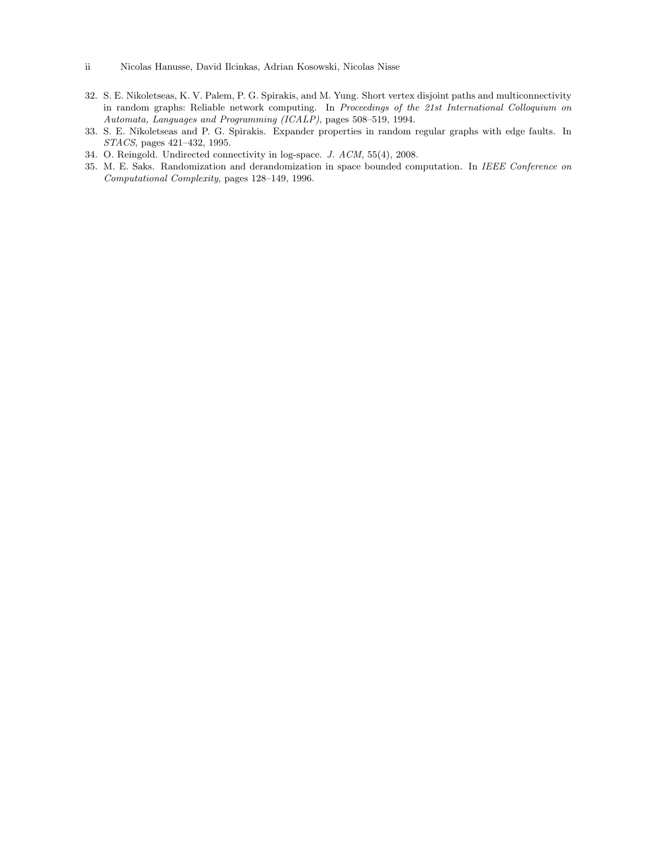- ii Nicolas Hanusse, David Ilcinkas, Adrian Kosowski, Nicolas Nisse
- 32. S. E. Nikoletseas, K. V. Palem, P. G. Spirakis, and M. Yung. Short vertex disjoint paths and multiconnectivity in random graphs: Reliable network computing. In Proceedings of the 21st International Colloquium on Automata, Languages and Programming (ICALP), pages 508–519, 1994.
- 33. S. E. Nikoletseas and P. G. Spirakis. Expander properties in random regular graphs with edge faults. In STACS, pages 421–432, 1995.
- 34. O. Reingold. Undirected connectivity in log-space. J. ACM, 55(4), 2008.
- 35. M. E. Saks. Randomization and derandomization in space bounded computation. In IEEE Conference on Computational Complexity, pages 128–149, 1996.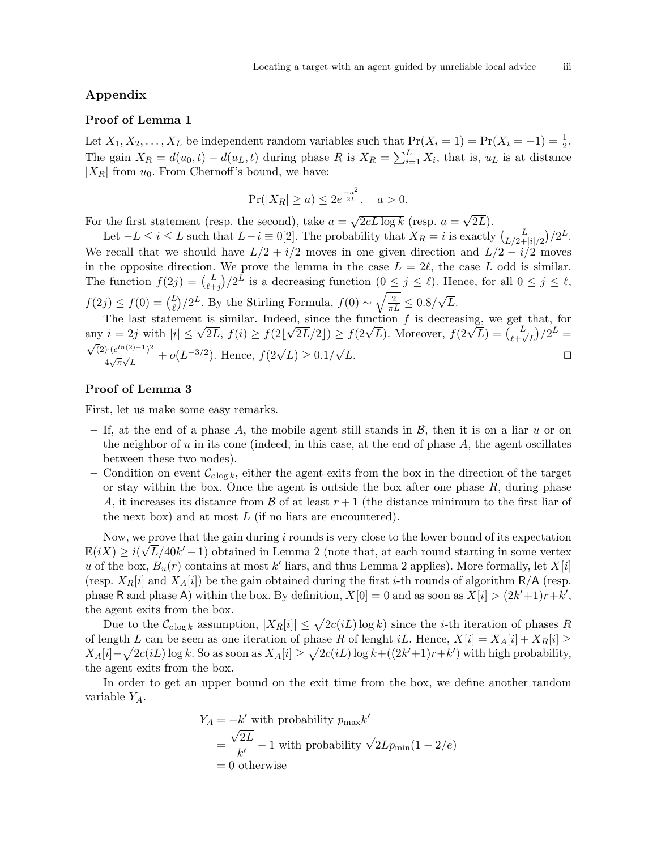# Appendix

#### Proof of Lemma 1

Let  $X_1, X_2, \ldots, X_L$  be independent random variables such that  $Pr(X_i = 1) = Pr(X_i = -1) = \frac{1}{2}$ . The gain  $X_R = d(u_0, t) - d(u_L, t)$  during phase R is  $X_R = \sum_{i=1}^L X_i$ , that is,  $u_L$  is at distance  $|X_R|$  from  $u_0$ . From Chernoff's bound, we have:

$$
Pr(|X_R| \ge a) \le 2e^{\frac{-a^2}{2L}}, \quad a > 0.
$$

For the first statement (resp. the second), take  $a =$ √  $\overline{2cL\log k}$  (resp.  $a=$ √  $2L$ ).

Let  $-L \leq i \leq L$  such that  $L - i \equiv 0[2]$ . The probability that  $X_R = i$  is exactly  $\binom{L}{L/2+|i|/2}/2^L$ . We recall that we should have  $L/2 + i/2$  moves in one given direction and  $L/2 - i/2$  moves in the opposite direction. We prove the lemma in the case  $L = 2\ell$ , the case L odd is similar. The function  $f(2j) = {L \choose \ell+j}/2^L$  is a decreasing function  $(0 \leq j \leq \ell)$ . Hence, for all  $0 \leq j \leq \ell$ ,  $f(2j) \le f(0) = \binom{L}{\ell} 2^L$ . By the Stirling Formula,  $f(0) \sim \sqrt{\frac{2}{\pi L}} \le 0.8/$ √ L.

The last statement is similar. Indeed, since the function f is decreasing, we get that, for The last statement is similar. Indeed, since the function f is decreasing, we get that, for any  $i = 2j$  with  $|i| \leq \sqrt{2L}$ ,  $f(i) \geq f(2\sqrt{2L}/2]$   $\geq f(2\sqrt{L})$ . Moreover,  $f(2\sqrt{L}) = {L \choose \ell + \sqrt{L}}/2^L =$  $\left(2\right) \cdot (e^{ln(2)-1})^2$  $\frac{\partial (e^{i n(2)}-1)^2}{\partial \sqrt{\pi}\sqrt{L}} + o(L^{-3/2})$ . Hence,  $f(2\sqrt{L}) \geq 0.1/$ √  $L.$ 

# Proof of Lemma 3

First, let us make some easy remarks.

- If, at the end of a phase A, the mobile agent still stands in  $\mathcal{B}$ , then it is on a liar u or on the neighbor of  $u$  in its cone (indeed, in this case, at the end of phase  $A$ , the agent oscillates between these two nodes).
- Condition on event  $\mathcal{C}_{c \log k}$ , either the agent exits from the box in the direction of the target or stay within the box. Once the agent is outside the box after one phase  $R$ , during phase A, it increases its distance from  $\beta$  of at least  $r+1$  (the distance minimum to the first liar of the next box) and at most  $L$  (if no liars are encountered).

Now, we prove that the gain during i rounds is very close to the lower bound of its expectation  $\mathbb{E}(iX) \geq i(\sqrt{L}/40k'-1)$  obtained in Lemma 2 (note that, at each round starting in some vertex u of the box,  $B_u(r)$  contains at most k' liars, and thus Lemma 2 applies). More formally, let  $X[i]$ (resp.  $X_R[i]$  and  $X_A[i]$ ) be the gain obtained during the first *i*-th rounds of algorithm R/A (resp. phase R and phase A) within the box. By definition,  $X[0] = 0$  and as soon as  $X[i] > (2k'+1)r+k'$ , the agent exits from the box.

Due to the  $\mathcal{C}_{c \log k}$  assumption,  $|X_R[i]| \leq \sqrt{2c(iL) \log k}$  since the *i*-th iteration of phases R of length L can be seen as one iteration of phase R of lenght iL. Hence,  $X[i] = X_A[i] + X_R[i] \geq$  $X_A[i] - \sqrt{2c(iL)\log k}$ . So as soon as  $X_A[i] \geq \sqrt{2c(iL)\log k} + ((2k'+1)r+k')$  with high probability, the agent exits from the box.

In order to get an upper bound on the exit time from the box, we define another random variable  $Y_A$ .

$$
Y_A = -k' \text{ with probability } p_{\text{max}} k'
$$
  
=  $\frac{\sqrt{2L}}{k'}$  - 1 with probability  $\sqrt{2L}p_{\text{min}}(1 - 2/e)$   
= 0 otherwise